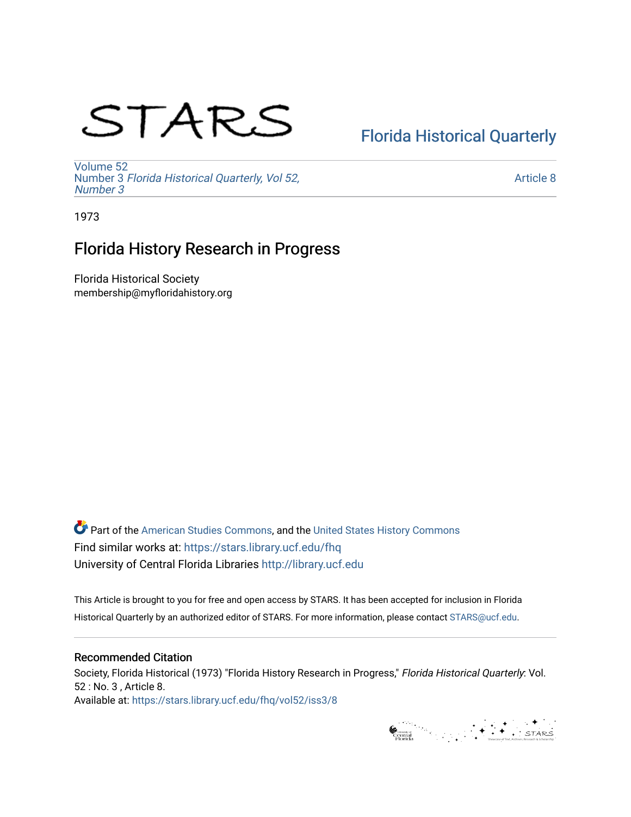# STARS

# [Florida Historical Quarterly](https://stars.library.ucf.edu/fhq)

[Volume 52](https://stars.library.ucf.edu/fhq/vol52) Number 3 [Florida Historical Quarterly, Vol 52,](https://stars.library.ucf.edu/fhq/vol52/iss3)  [Number 3](https://stars.library.ucf.edu/fhq/vol52/iss3)

[Article 8](https://stars.library.ucf.edu/fhq/vol52/iss3/8) 

1973

## Florida History Research in Progress

Florida Historical Society membership@myfloridahistory.org

**C** Part of the [American Studies Commons](http://network.bepress.com/hgg/discipline/439?utm_source=stars.library.ucf.edu%2Ffhq%2Fvol52%2Fiss3%2F8&utm_medium=PDF&utm_campaign=PDFCoverPages), and the United States History Commons Find similar works at: <https://stars.library.ucf.edu/fhq> University of Central Florida Libraries [http://library.ucf.edu](http://library.ucf.edu/) 

This Article is brought to you for free and open access by STARS. It has been accepted for inclusion in Florida Historical Quarterly by an authorized editor of STARS. For more information, please contact [STARS@ucf.edu.](mailto:STARS@ucf.edu)

### Recommended Citation

Society, Florida Historical (1973) "Florida History Research in Progress," Florida Historical Quarterly: Vol. 52 : No. 3 , Article 8. Available at: [https://stars.library.ucf.edu/fhq/vol52/iss3/8](https://stars.library.ucf.edu/fhq/vol52/iss3/8?utm_source=stars.library.ucf.edu%2Ffhq%2Fvol52%2Fiss3%2F8&utm_medium=PDF&utm_campaign=PDFCoverPages) 

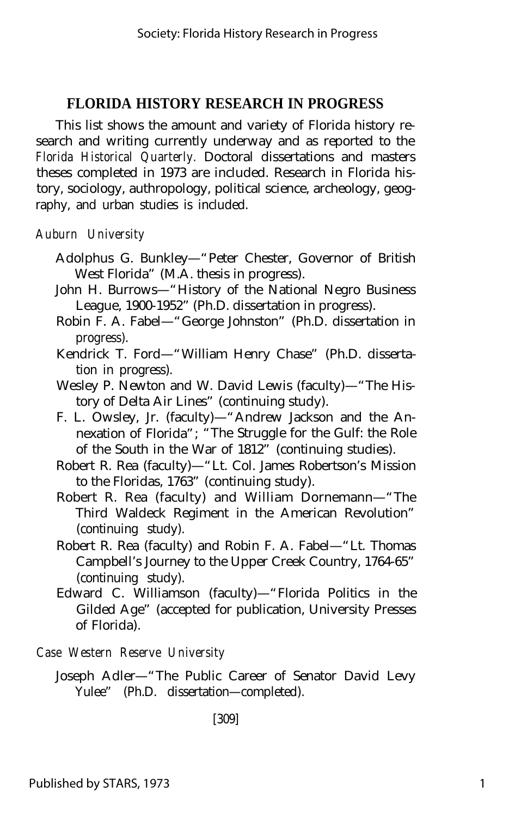This list shows the amount and variety of Florida history research and writing currently underway and as reported to the *Florida Historical Quarterly.* Doctoral dissertations and masters theses completed in 1973 are included. Research in Florida history, sociology, authropology, political science, archeology, geography, and urban studies is included.

*Auburn University*

- Adolphus G. Bunkley— "Peter Chester, Governor of British West Florida" (M.A. thesis in progress).
- John H. Burrows— "History of the National Negro Business League, 1900-1952" (Ph.D. dissertation in progress).
- Robin F. A. Fabel— "George Johnston" (Ph.D. dissertation in progress).
- Kendrick T. Ford— "William Henry Chase" (Ph.D. dissertation in progress).
- Wesley P. Newton and W. David Lewis (faculty)— "The History of Delta Air Lines" (continuing study).
- F. L. Owsley, Jr. (faculty)— "Andrew Jackson and the Annexation of Florida"; "The Struggle for the Gulf: the Role of the South in the War of 1812" (continuing studies).
- Robert R. Rea (faculty)— "Lt. Col. James Robertson's Mission to the Floridas, 1763" (continuing study).
- Robert R. Rea (faculty) and William Dornemann— "The Third Waldeck Regiment in the American Revolution" (continuing study).
- Robert R. Rea (faculty) and Robin F. A. Fabel— "Lt. Thomas Campbell's Journey to the Upper Creek Country, 1764-65" (continuing study).
- Edward C. Williamson (faculty)— "Florida Politics in the Gilded Age" (accepted for publication, University Presses of Florida).

*Case Western Reserve University*

[309]

Joseph Adler— "The Public Career of Senator David Levy Yulee" (Ph.D. dissertation— completed).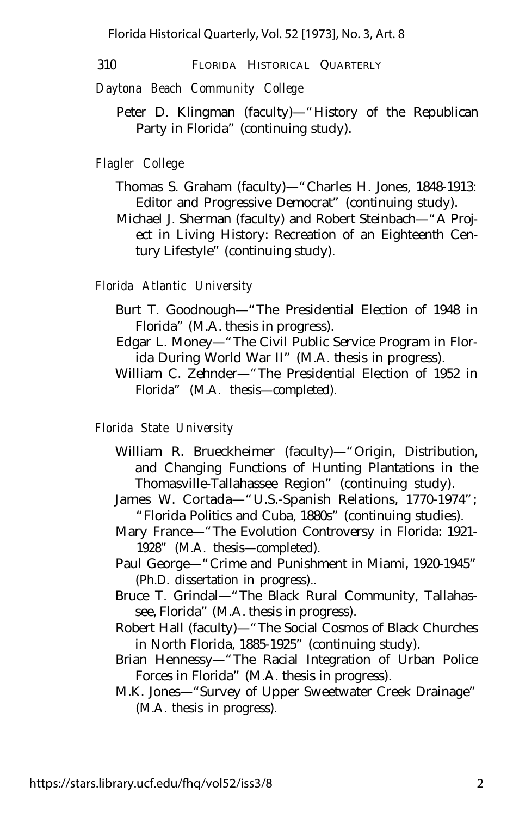Florida Historical Quarterly, Vol. 52 [1973], No. 3, Art. 8

310 FLORIDA HISTORICAL QUARTERLY

*Daytona Beach Community College*

Peter D. Klingman (faculty)— "History of the Republican Party in Florida" (continuing study).

#### *Flagler College*

- Thomas S. Graham (faculty)— "Charles H. Jones, 1848-1913: Editor and Progressive Democrat" (continuing study).
- Michael J. Sherman (faculty) and Robert Steinbach— "A Project in Living History: Recreation of an Eighteenth Century Lifestyle" (continuing study).

#### *Florida Atlantic University*

- Burt T. Goodnough— "The Presidential Election of 1948 in Florida" (M.A. thesis in progress).
- Edgar L. Money— "The Civil Public Service Program in Florida During World War II" (M.A. thesis in progress).
- William C. Zehnder— "The Presidential Election of 1952 in Florida" (M.A. thesis— completed).

#### *Florida State University*

- William R. Brueckheimer (faculty)— "Origin, Distribution, and Changing Functions of Hunting Plantations in the Thomasville-Tallahassee Region" (continuing study).
- James W. Cortada— "U.S.-Spanish Relations, 1770-1974"; "Florida Politics and Cuba, 1880s" (continuing studies).
- Mary France— "The Evolution Controversy in Florida: 1921- 1928" (M.A. thesis— completed).
- Paul George— "Crime and Punishment in Miami, 1920-1945" (Ph.D. dissertation in progress)..
- Bruce T. Grindal— "The Black Rural Community, Tallahassee, Florida" (M.A. thesis in progress).
- Robert Hall (faculty)— "The Social Cosmos of Black Churches in North Florida, 1885-1925" (continuing study).
- Brian Hennessy— "The Racial Integration of Urban Police Forces in Florida" (M.A. thesis in progress).
- M.K. Jones— "Survey of Upper Sweetwater Creek Drainage" (M.A. thesis in progress).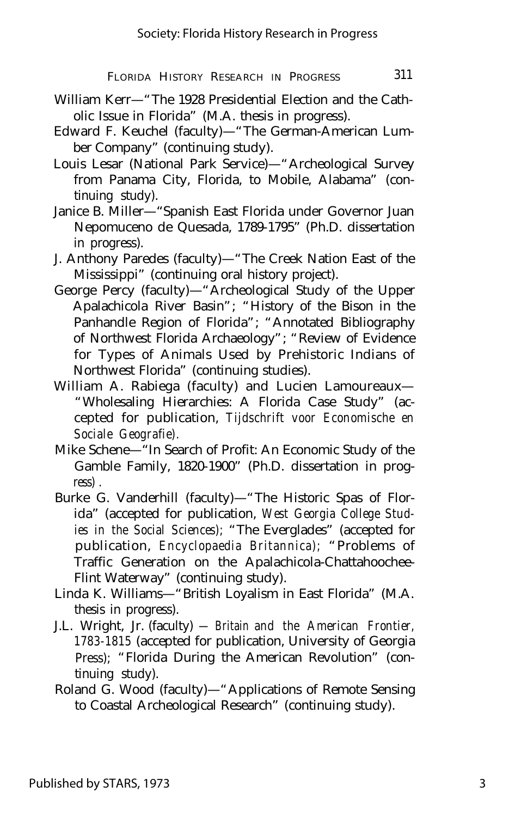- William Kerr— "The 1928 Presidential Election and the Catholic Issue in Florida" (M.A. thesis in progress).
- Edward F. Keuchel (faculty)— "The German-American Lumber Company" (continuing study).
- Louis Lesar (National Park Service)— "Archeological Survey from Panama City, Florida, to Mobile, Alabama" (continuing study).
- Janice B. Miller— "Spanish East Florida under Governor Juan Nepomuceno de Quesada, 1789-1795" (Ph.D. dissertation in progress).
- J. Anthony Paredes (faculty)— "The Creek Nation East of the Mississippi" (continuing oral history project).
- George Percy (faculty)— "Archeological Study of the Upper Apalachicola River Basin"; "History of the Bison in the Panhandle Region of Florida"; "Annotated Bibliography of Northwest Florida Archaeology"; "Review of Evidence for Types of Animals Used by Prehistoric Indians of Northwest Florida" (continuing studies).
- William A. Rabiega (faculty) and Lucien Lamoureaux— "Wholesaling Hierarchies: A Florida Case Study" (accepted for publication, *Tijdschrift voor Economische en Sociale Geografie).*
- Mike Schene— "In Search of Profit: An Economic Study of the Gamble Family, 1820-1900" (Ph.D. dissertation in progress) .
- Burke G. Vanderhill (faculty)— "The Historic Spas of Florida" (accepted for publication, *West Georgia College Studies in the Social Sciences);* "The Everglades" (accepted for publication, *Encyclopaedia Britannica);* "Problems of Traffic Generation on the Apalachicola-Chattahoochee-Flint Waterway" (continuing study).
- Linda K. Williams— "British Loyalism in East Florida" (M.A. thesis in progress).
- J.L. Wright, Jr. (faculty)  *Britain and the American Frontier, 1783-1815* (accepted for publication, University of Georgia Press); "Florida During the American Revolution" (continuing study).
- Roland G. Wood (faculty)— "Applications of Remote Sensing to Coastal Archeological Research" (continuing study).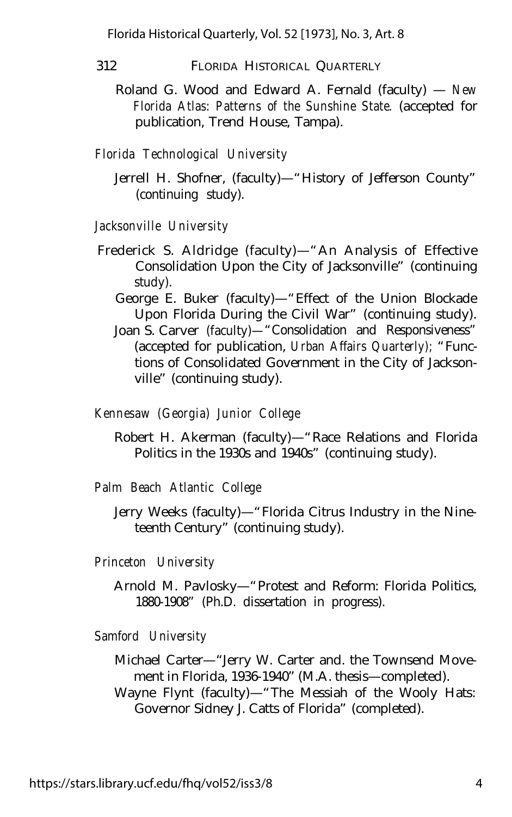Florida Historical Quarterly, Vol. 52 [1973], No. 3, Art. 8

312 FLORIDA HISTORICAL QUARTERLY

Roland G. Wood and Edward A. Fernald (faculty) — *New Florida Atlas: Patterns of the Sunshine State.* (accepted for publication, Trend House, Tampa).

*Florida Technological University*

Jerrell H. Shofner, (faculty)— "History of Jefferson County" (continuing study).

*Jacksonville University*

- Frederick S. Aldridge (faculty)— "An Analysis of Effective Consolidation Upon the City of Jacksonville" (continuing study).
	- George E. Buker (faculty)— "Effect of the Union Blockade Upon Florida During the Civil War" (continuing study).
	- Joan S. Carver (faculty)— "Consolidation and Responsiveness" (accepted for publication, *Urban Affairs Quarterly);* "Functions of Consolidated Government in the City of Jacksonville" (continuing study).

*Kennesaw (Georgia) Junior College*

Robert H. Akerman (faculty)— "Race Relations and Florida Politics in the 1930s and 1940s" (continuing study).

*Palm Beach Atlantic College*

Jerry Weeks (faculty)— "Florida Citrus Industry in the Nineteenth Century" (continuing study).

*Princeton University*

Arnold M. Pavlosky— "Protest and Reform: Florida Politics, 1880-1908" (Ph.D. dissertation in progress).

*Samford University*

Michael Carter— "Jerry W. Carter and. the Townsend Movement in Florida, 1936-1940" (M.A. thesis— completed). Wayne Flynt (faculty)— "The Messiah of the Wooly Hats: Governor Sidney J. Catts of Florida" (completed).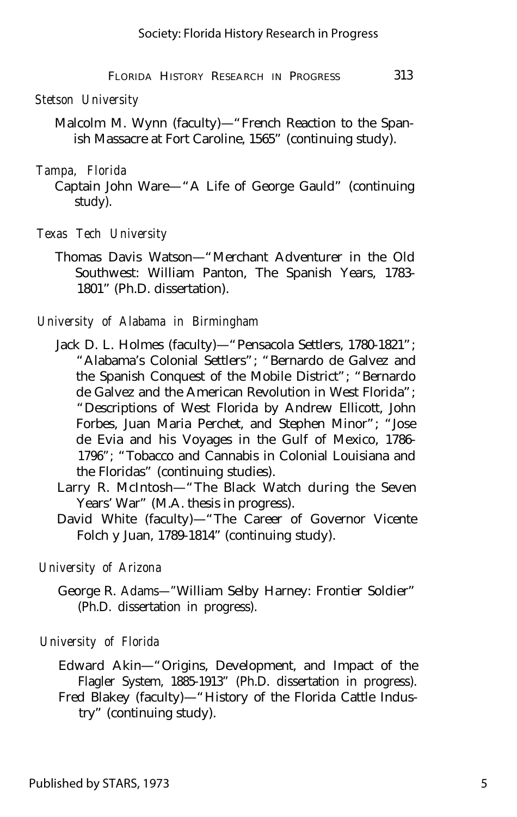#### *Stetson University*

Malcolm M. Wynn (faculty)— "French Reaction to the Spanish Massacre at Fort Caroline, 1565" (continuing study).

#### *Tampa, Florida*

Captain John Ware— "A Life of George Gauld" (continuing study).

- *Texas Tech University*
	- Thomas Davis Watson— "Merchant Adventurer in the Old Southwest: William Panton, The Spanish Years, 1783- 1801" (Ph.D. dissertation).

#### *University of Alabama in Birmingham*

- Jack D. L. Holmes (faculty)— "Pensacola Settlers, 1780-1821"; "Alabama's Colonial Settlers"; "Bernardo de Galvez and the Spanish Conquest of the Mobile District"; "Bernardo de Galvez and the American Revolution in West Florida"; "Descriptions of West Florida by Andrew Ellicott, John Forbes, Juan Maria Perchet, and Stephen Minor"; "Jose de Evia and his Voyages in the Gulf of Mexico, 1786- 1796"; "Tobacco and Cannabis in Colonial Louisiana and the Floridas" (continuing studies).
- Larry R. McIntosh— "The Black Watch during the Seven Years' War" (M.A. thesis in progress).
- David White (faculty)— "The Career of Governor Vicente Folch y Juan, 1789-1814" (continuing study).

#### *University of Arizona*

George R. Adams— "William Selby Harney: Frontier Soldier" (Ph.D. dissertation in progress).

#### *University of Florida*

Edward Akin— "Origins, Development, and Impact of the Flagler System, 1885-1913" (Ph.D. dissertation in progress). Fred Blakey (faculty)— "History of the Florida Cattle Indus-

try" (continuing study).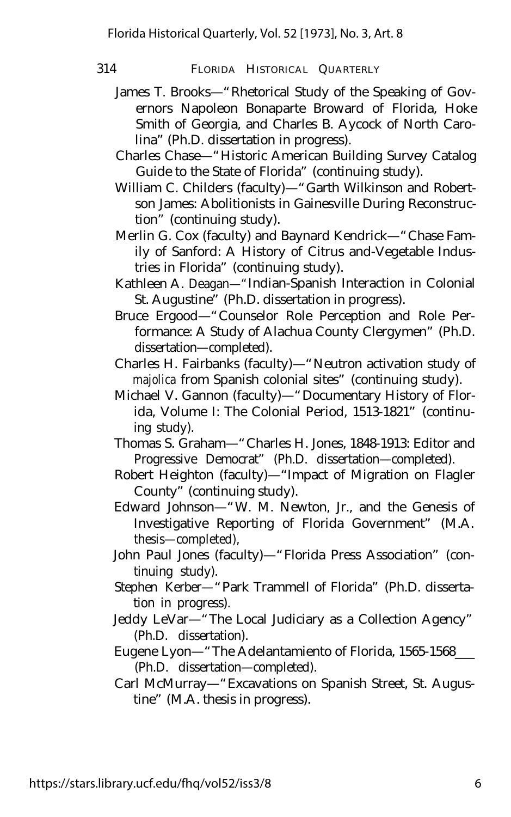314 FLORIDA HISTORICAL QUARTERLY

- James T. Brooks— "Rhetorical Study of the Speaking of Governors Napoleon Bonaparte Broward of Florida, Hoke Smith of Georgia, and Charles B. Aycock of North Carolina" (Ph.D. dissertation in progress).
- Charles Chase— "Historic American Building Survey Catalog Guide to the State of Florida" (continuing study).
- William C. Childers (faculty)— "Garth Wilkinson and Robertson James: Abolitionists in Gainesville During Reconstruction" (continuing study).
- Merlin G. Cox (faculty) and Baynard Kendrick— "Chase Family of Sanford: A History of Citrus and-Vegetable Industries in Florida" (continuing study).
- Kathleen A. Deagan— "Indian-Spanish Interaction in Colonial St. Augustine" (Ph.D. dissertation in progress).
- Bruce Ergood— "Counselor Role Perception and Role Performance: A Study of Alachua County Clergymen" (Ph.D. dissertation— completed).
- Charles H. Fairbanks (faculty)— "Neutron activation study of *majolica* from Spanish colonial sites" (continuing study).
- Michael V. Gannon (faculty)— "Documentary History of Florida, Volume I: The Colonial Period, 1513-1821" (continuing study).
- Thomas S. Graham— "Charles H. Jones, 1848-1913: Editor and Progressive Democrat" (Ph.D. dissertation— completed).
- Robert Heighton (faculty)— "Impact of Migration on Flagler County" (continuing study).
- Edward Johnson— "W. M. Newton, Jr., and the Genesis of Investigative Reporting of Florida Government" (M.A. thesis— completed),
- John Paul Jones (faculty)— "Florida Press Association" (continuing study).
- Stephen Kerber— "Park Trammell of Florida" (Ph.D. dissertation in progress).
- Jeddy LeVar— "The Local Judiciary as a Collection Agency" (Ph.D. dissertation).
- Eugene Lyon— "The Adelantamiento of Florida, 1565-1568\_\_\_ (Ph.D. dissertation— completed).
- Carl McMurray— "Excavations on Spanish Street, St. Augustine" (M.A. thesis in progress).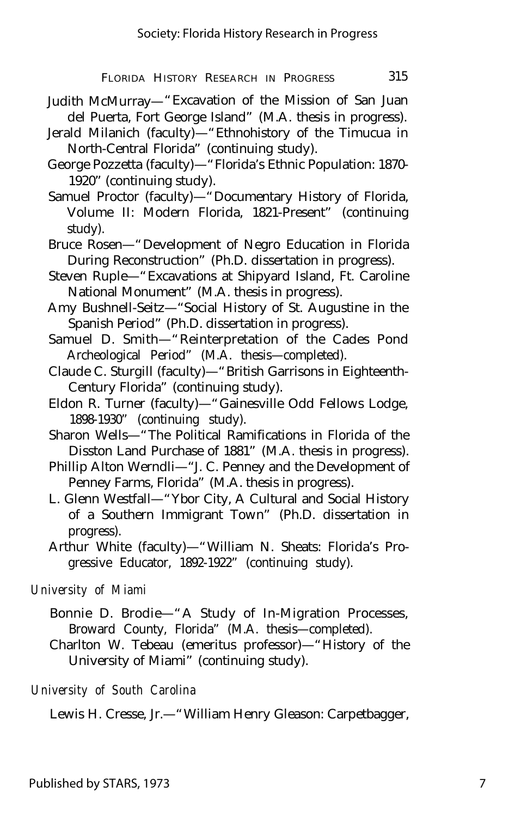- Judith McMurray— "Excavation of the Mission of San Juan del Puerta, Fort George Island" (M.A. thesis in progress).
- Jerald Milanich (faculty)— "Ethnohistory of the Timucua in North-Central Florida" (continuing study).
- George Pozzetta (faculty)— "Florida's Ethnic Population: 1870- 1920" (continuing study).
- Samuel Proctor (faculty)— "Documentary History of Florida, Volume II: Modern Florida, 1821-Present" (continuing study).
- Bruce Rosen— "Development of Negro Education in Florida During Reconstruction" (Ph.D. dissertation in progress).
- Steven Ruple— "Excavations at Shipyard Island, Ft. Caroline National Monument" (M.A. thesis in progress).
- Amy Bushnell-Seitz— "Social History of St. Augustine in the Spanish Period" (Ph.D. dissertation in progress).
- Samuel D. Smith— "Reinterpretation of the Cades Pond Archeological Period" (M.A. thesis— completed).
- Claude C. Sturgill (faculty)— "British Garrisons in Eighteenth-Century Florida" (continuing study).
- Eldon R. Turner (faculty)— "Gainesville Odd Fellows Lodge, 1898-1930" (continuing study).
- Sharon Wells— "The Political Ramifications in Florida of the Disston Land Purchase of 1881" (M.A. thesis in progress).
- Phillip Alton Werndli— "J. C. Penney and the Development of Penney Farms, Florida" (M.A. thesis in progress).
- L. Glenn Westfall— "Ybor City, A Cultural and Social History of a Southern Immigrant Town" (Ph.D. dissertation in progress).
- Arthur White (faculty)— "William N. Sheats: Florida's Progressive Educator, 1892-1922" (continuing study).

#### *University of Miami*

- Bonnie D. Brodie— "A Study of In-Migration Processes, Broward County, Florida" (M.A. thesis— completed).
- Charlton W. Tebeau (emeritus professor)— "History of the University of Miami" (continuing study).

#### *University of South Carolina*

Lewis H. Cresse, Jr.— "William Henry Gleason: Carpetbagger,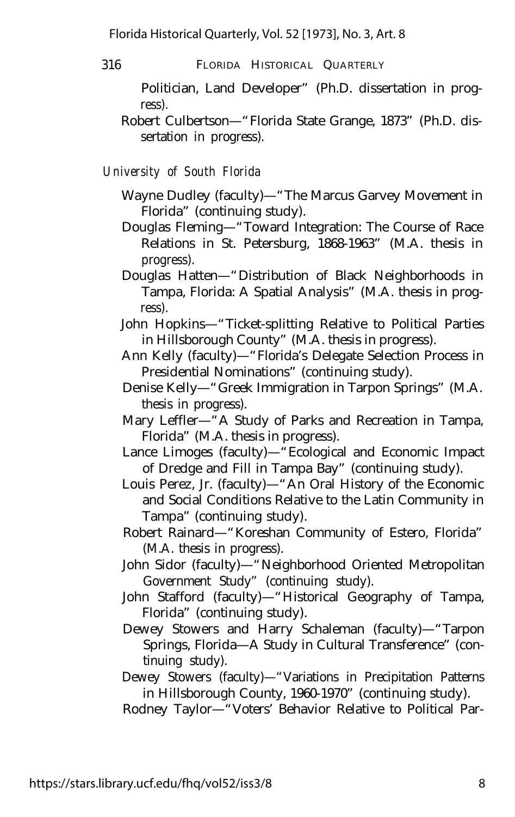- 316 FLORIDA HISTORICAL QUARTERLY
	- Politician, Land Developer" (Ph.D. dissertation in progress).
	- Robert Culbertson— "Florida State Grange, 1873" (Ph.D. dissertation in progress).

*University of South Florida*

- Wayne Dudley (faculty)— "The Marcus Garvey Movement in Florida" (continuing study).
- Douglas Fleming— "Toward Integration: The Course of Race Relations in St. Petersburg, 1868-1963" (M.A. thesis in progress).
- Douglas Hatten— "Distribution of Black Neighborhoods in Tampa, Florida: A Spatial Analysis" (M.A. thesis in progress).
- John Hopkins— "Ticket-splitting Relative to Political Parties in Hillsborough County" (M.A. thesis in progress).
- Ann Kelly (faculty)— "Florida's Delegate Selection Process in Presidential Nominations" (continuing study).
- Denise Kelly— "Greek Immigration in Tarpon Springs" (M.A. thesis in progress).
- Mary Leffler— "A Study of Parks and Recreation in Tampa, Florida" (M.A. thesis in progress).
- Lance Limoges (faculty)— "Ecological and Economic Impact of Dredge and Fill in Tampa Bay" (continuing study).
- Louis Perez, Jr. (faculty)— "An Oral History of the Economic and Social Conditions Relative to the Latin Community in Tampa" (continuing study).
- Robert Rainard— "Koreshan Community of Estero, Florida" (M.A. thesis in progress).
- John Sidor (faculty)— "Neighborhood Oriented Metropolitan Government Study" (continuing study).
- John Stafford (faculty)— "Historical Geography of Tampa, Florida" (continuing study).
- Dewey Stowers and Harry Schaleman (faculty)— "Tarpon Springs, Florida— A Study in Cultural Transference" (continuing study).
- Dewey Stowers (faculty)— "Variations in Precipitation Patterns in Hillsborough County, 1960-1970" (continuing study).

Rodney Taylor— "Voters' Behavior Relative to Political Par-